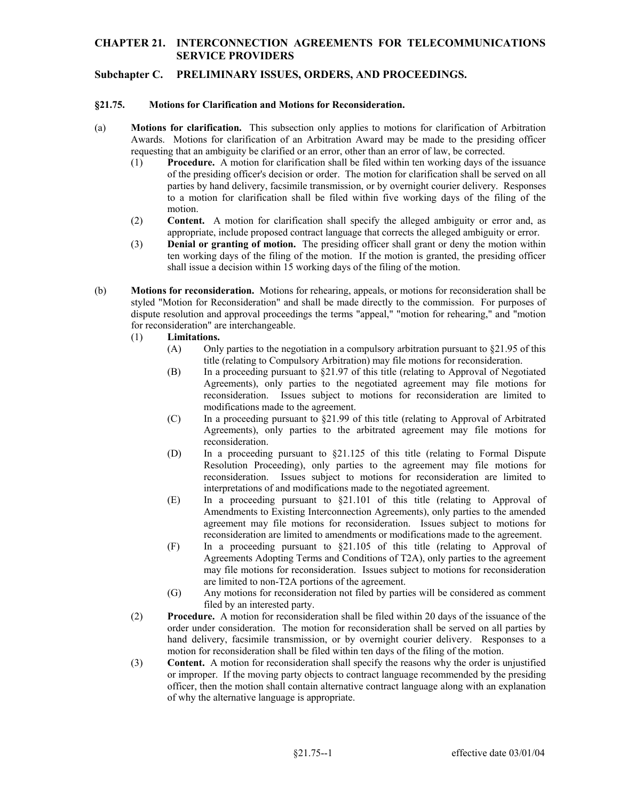# **CHAPTER 21. INTERCONNECTION AGREEMENTS FOR TELECOMMUNICATIONS SERVICE PROVIDERS**

# **Subchapter C. PRELIMINARY ISSUES, ORDERS, AND PROCEEDINGS.**

#### **§21.75. Motions for Clarification and Motions for Reconsideration.**

- (a) **Motions for clarification.** This subsection only applies to motions for clarification of Arbitration requesting that an ambiguity be clarified or an error, other than an error of law, be corrected. Awards. Motions for clarification of an Arbitration Award may be made to the presiding officer
	- (1) **Procedure.** A motion for clarification shall be filed within ten working days of the issuance to a motion for clarification shall be filed within five working days of the filing of the of the presiding officer's decision or order. The motion for clarification shall be served on all parties by hand delivery, facsimile transmission, or by overnight courier delivery. Responses motion.
	- (2) **Content.** A motion for clarification shall specify the alleged ambiguity or error and, as appropriate, include proposed contract language that corrects the alleged ambiguity or error.
	- shall issue a decision within 15 working days of the filing of the motion. (3) **Denial or granting of motion.** The presiding officer shall grant or deny the motion within ten working days of the filing of the motion. If the motion is granted, the presiding officer
- (b) **Motions for reconsideration.** Motions for rehearing, appeals, or motions for reconsideration shall be styled "Motion for Reconsideration" and shall be made directly to the commission. For purposes of dispute resolution and approval proceedings the terms "appeal," "motion for rehearing," and "motion for reconsideration" are interchangeable.

### (1) **Limitations.**

- (A) Only parties to the negotiation in a compulsory arbitration pursuant to  $\S21.95$  of this title (relating to Compulsory Arbitration) may file motions for reconsideration.
- (B) In a proceeding pursuant to §21.97 of this title (relating to Approval of Negotiated Agreements), only parties to the negotiated agreement may file motions for reconsideration. Issues subject to motions for reconsideration are limited to modifications made to the agreement.
- (C) In a proceeding pursuant to  $\S21.99$  of this title (relating to Approval of Arbitrated Agreements), only parties to the arbitrated agreement may file motions for reconsideration.
- (D) In a proceeding pursuant to  $\S21.125$  of this title (relating to Formal Dispute Resolution Proceeding), only parties to the agreement may file motions for reconsideration. Issues subject to motions for reconsideration are limited to interpretations of and modifications made to the negotiated agreement.
- (E) In a proceeding pursuant to §21.101 of this title (relating to Approval of Amendments to Existing Interconnection Agreements), only parties to the amended agreement may file motions for reconsideration. Issues subject to motions for reconsideration are limited to amendments or modifications made to the agreement.
- (F) In a proceeding pursuant to §21.105 of this title (relating to Approval of Agreements Adopting Terms and Conditions of T2A), only parties to the agreement may file motions for reconsideration. Issues subject to motions for reconsideration are limited to non-T2A portions of the agreement.
- (G) Any motions for reconsideration not filed by parties will be considered as comment filed by an interested party.
- (2) **Procedure.** A motion for reconsideration shall be filed within 20 days of the issuance of the hand delivery, facsimile transmission, or by overnight courier delivery. Responses to a motion for reconsideration shall be filed within ten days of the filing of the motion. order under consideration. The motion for reconsideration shall be served on all parties by
- (3) **Content.** A motion for reconsideration shall specify the reasons why the order is unjustified or improper. If the moving party objects to contract language recommended by the presiding officer, then the motion shall contain alternative contract language along with an explanation of why the alternative language is appropriate.